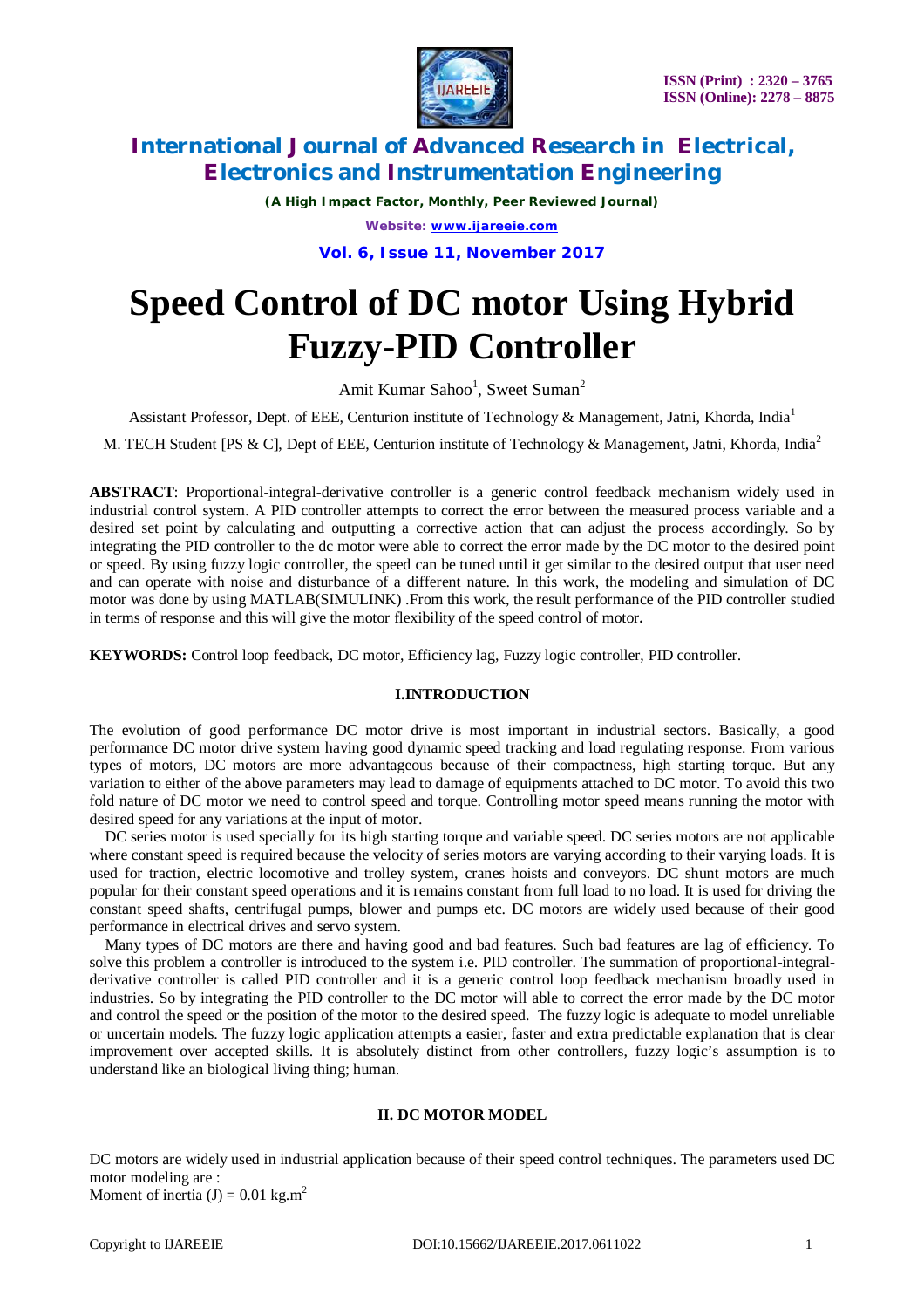

*(A High Impact Factor, Monthly, Peer Reviewed Journal) Website: [www.ijareeie.com](http://www.ijareeie.com)*

**Vol. 6, Issue 11, November 2017**

# **Speed Control of DC motor Using Hybrid Fuzzy-PID Controller**

Amit Kumar Sahoo<sup>1</sup>, Sweet Suman<sup>2</sup>

Assistant Professor, Dept. of EEE, Centurion institute of Technology & Management, Jatni, Khorda, India<sup>1</sup>

M. TECH Student [PS & C], Dept of EEE, Centurion institute of Technology & Management, Jatni, Khorda, India<sup>2</sup>

**ABSTRACT**: Proportional-integral-derivative controller is a generic control feedback mechanism widely used in industrial control system. A PID controller attempts to correct the error between the measured process variable and a desired set point by calculating and outputting a corrective action that can adjust the process accordingly. So by integrating the PID controller to the dc motor were able to correct the error made by the DC motor to the desired point or speed. By using fuzzy logic controller, the speed can be tuned until it get similar to the desired output that user need and can operate with noise and disturbance of a different nature. In this work, the modeling and simulation of DC motor was done by using MATLAB(SIMULINK) .From this work, the result performance of the PID controller studied in terms of response and this will give the motor flexibility of the speed control of motor**.**

**KEYWORDS:** Control loop feedback, DC motor, Efficiency lag, Fuzzy logic controller, PID controller.

### **I.INTRODUCTION**

The evolution of good performance DC motor drive is most important in industrial sectors. Basically, a good performance DC motor drive system having good dynamic speed tracking and load regulating response. From various types of motors, DC motors are more advantageous because of their compactness, high starting torque. But any variation to either of the above parameters may lead to damage of equipments attached to DC motor. To avoid this two fold nature of DC motor we need to control speed and torque. Controlling motor speed means running the motor with desired speed for any variations at the input of motor.

DC series motor is used specially for its high starting torque and variable speed. DC series motors are not applicable where constant speed is required because the velocity of series motors are varying according to their varying loads. It is used for traction, electric locomotive and trolley system, cranes hoists and conveyors. DC shunt motors are much popular for their constant speed operations and it is remains constant from full load to no load. It is used for driving the constant speed shafts, centrifugal pumps, blower and pumps etc. DC motors are widely used because of their good performance in electrical drives and servo system.

Many types of DC motors are there and having good and bad features. Such bad features are lag of efficiency. To solve this problem a controller is introduced to the system i.e. PID controller. The summation of proportional-integralderivative controller is called PID controller and it is a generic control loop feedback mechanism broadly used in industries. So by integrating the PID controller to the DC motor will able to correct the error made by the DC motor and control the speed or the position of the motor to the desired speed. The fuzzy logic is adequate to model unreliable or uncertain models. The fuzzy logic application attempts a easier, faster and extra predictable explanation that is clear improvement over accepted skills. It is absolutely distinct from other controllers, fuzzy logic's assumption is to understand like an biological living thing; human.

### **II. DC MOTOR MODEL**

DC motors are widely used in industrial application because of their speed control techniques. The parameters used DC motor modeling are : Moment of inertia (J) =  $0.01$  kg.m<sup>2</sup>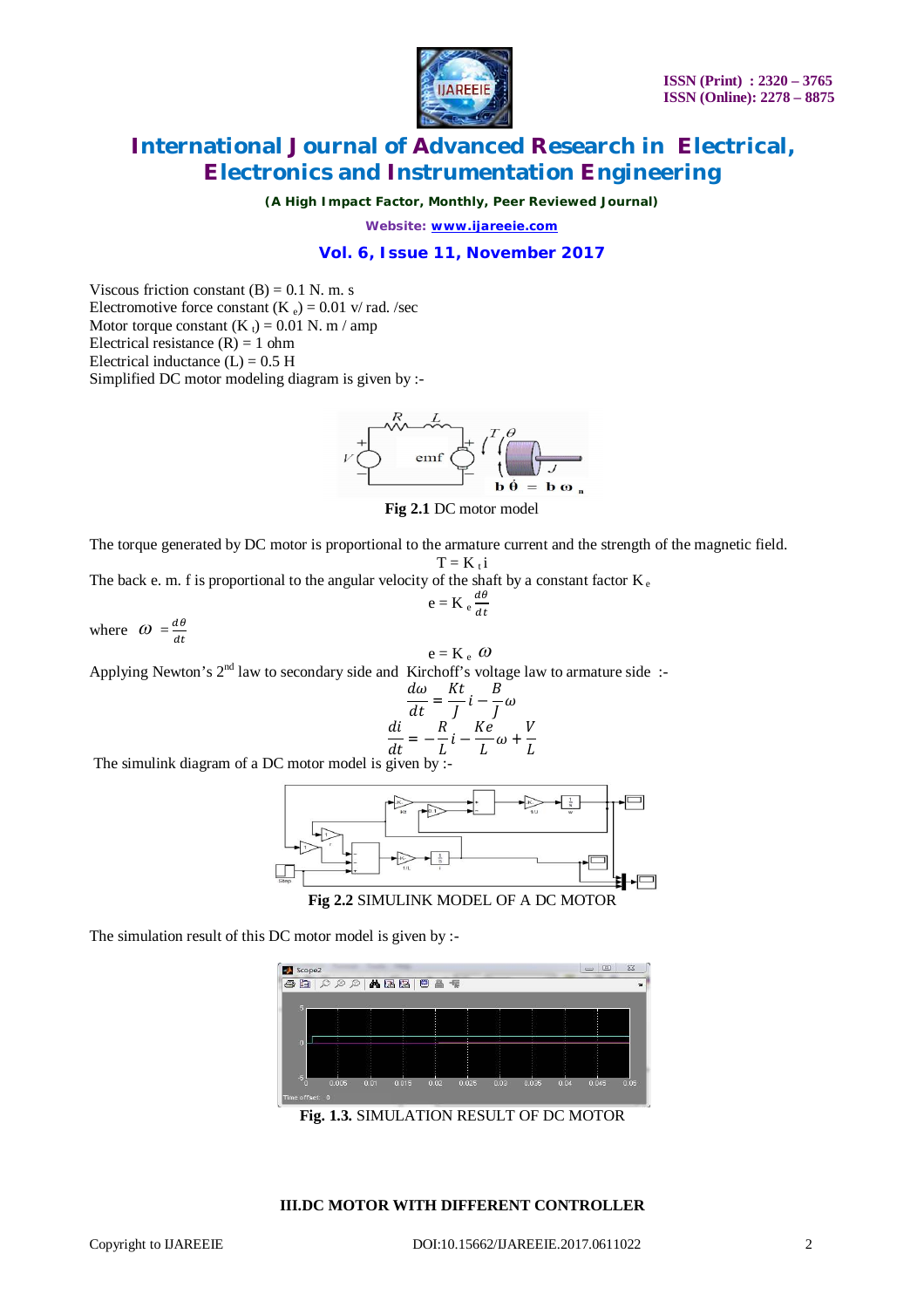

*(A High Impact Factor, Monthly, Peer Reviewed Journal)*

*Website: [www.ijareeie.com](http://www.ijareeie.com)*

# **Vol. 6, Issue 11, November 2017**

Viscous friction constant  $(B) = 0.1$  N. m. s Electromotive force constant (K  $_e$ ) = 0.01 v/ rad. /sec Motor torque constant  $(K_t) = 0.01$  N. m / amp Electrical resistance  $(R) = 1$  ohm Electrical inductance  $(L) = 0.5$  H Simplified DC motor modeling diagram is given by :-



**Fig 2.1** DC motor model

The torque generated by DC motor is proportional to the armature current and the strength of the magnetic field.

$$
T = K_t i
$$

The back e. m. f is proportional to the angular velocity of the shaft by a constant factor  $K_e$  $d\theta$ 

$$
e = K_e \frac{d\theta}{dt}
$$

where  $\omega = \frac{d\theta}{dt}$  $d\mathbf{t}$ 

 $e = K_e \omega$ 

Applying Newton's  $2<sup>nd</sup>$  law to secondary side and Kirchoff's voltage law to armature side :-

$$
\frac{d\omega}{dt} = \frac{Kt}{J}i - \frac{B}{J}\omega
$$

$$
\frac{di}{dt} = -\frac{R}{L}i - \frac{Ke}{L}\omega + \frac{V}{L}
$$

The simulink diagram of a DC motor model is given by :-



**Fig 2.2** SIMULINK MODEL OF A DC MOTOR

The simulation result of this DC motor model is given by :-

| 自<br>6  | QQQ    |      | 小语语    | 日音卡    |       |      |       |        |       |      |
|---------|--------|------|--------|--------|-------|------|-------|--------|-------|------|
| G       | $\sim$ |      | $\sim$ | $\sim$ |       |      | $-20$ | $\sim$ |       |      |
| n       |        |      | ٠      |        |       |      |       |        |       |      |
|         |        |      |        |        |       |      |       |        |       |      |
| U.<br>n | 0.005  | 0.01 | 0.015  | 0.02   | 0.025 | 0.03 | 0.035 | 0.04   | 0.045 | 0.05 |

**Fig. 1.3.** SIMULATION RESULT OF DC MOTOR

### **III.DC MOTOR WITH DIFFERENT CONTROLLER**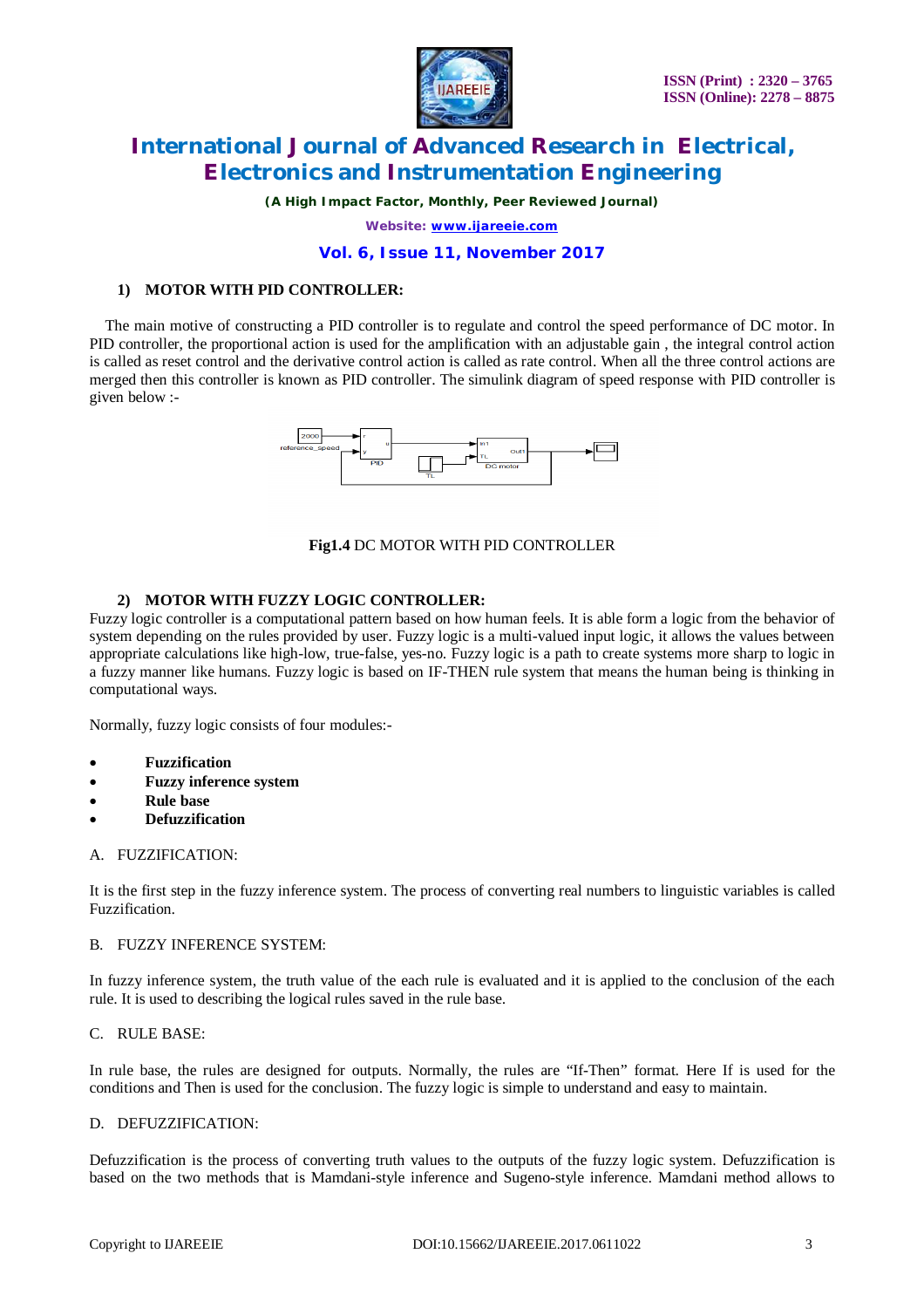

*(A High Impact Factor, Monthly, Peer Reviewed Journal)*

*Website: [www.ijareeie.com](http://www.ijareeie.com)*

### **Vol. 6, Issue 11, November 2017**

# **1) MOTOR WITH PID CONTROLLER:**

The main motive of constructing a PID controller is to regulate and control the speed performance of DC motor. In PID controller, the proportional action is used for the amplification with an adjustable gain , the integral control action is called as reset control and the derivative control action is called as rate control. When all the three control actions are merged then this controller is known as PID controller. The simulink diagram of speed response with PID controller is given below :-



# **Fig1.4** DC MOTOR WITH PID CONTROLLER

# **2) MOTOR WITH FUZZY LOGIC CONTROLLER:**

Fuzzy logic controller is a computational pattern based on how human feels. It is able form a logic from the behavior of system depending on the rules provided by user. Fuzzy logic is a multi-valued input logic, it allows the values between appropriate calculations like high-low, true-false, yes-no. Fuzzy logic is a path to create systems more sharp to logic in a fuzzy manner like humans. Fuzzy logic is based on IF-THEN rule system that means the human being is thinking in computational ways.

Normally, fuzzy logic consists of four modules:-

- **Fuzzification**
- **Fuzzy inference system**
- **Rule base**
- **Defuzzification**

#### A. FUZZIFICATION:

It is the first step in the fuzzy inference system. The process of converting real numbers to linguistic variables is called Fuzzification.

#### B. FUZZY INFERENCE SYSTEM:

In fuzzy inference system, the truth value of the each rule is evaluated and it is applied to the conclusion of the each rule. It is used to describing the logical rules saved in the rule base.

#### C. RULE BASE:

In rule base, the rules are designed for outputs. Normally, the rules are "If-Then" format. Here If is used for the conditions and Then is used for the conclusion. The fuzzy logic is simple to understand and easy to maintain.

#### D. DEFUZZIFICATION:

Defuzzification is the process of converting truth values to the outputs of the fuzzy logic system. Defuzzification is based on the two methods that is Mamdani-style inference and Sugeno-style inference. Mamdani method allows to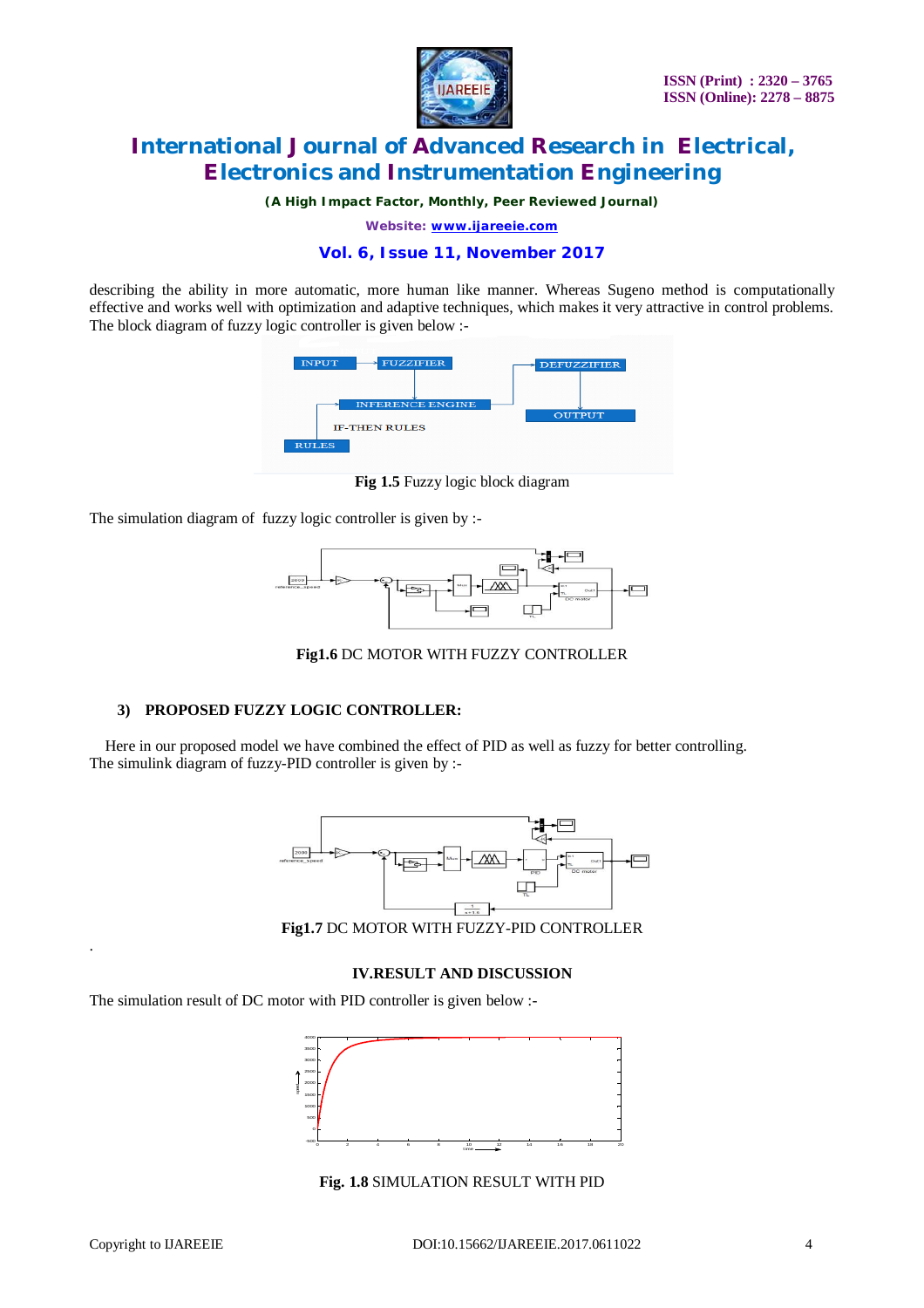

*(A High Impact Factor, Monthly, Peer Reviewed Journal)*

*Website: [www.ijareeie.com](http://www.ijareeie.com)*

# **Vol. 6, Issue 11, November 2017**

describing the ability in more automatic, more human like manner. Whereas Sugeno method is computationally effective and works well with optimization and adaptive techniques, which makes it very attractive in control problems. The block diagram of fuzzy logic controller is given below :-



**Fig 1.5** Fuzzy logic block diagram

The simulation diagram of fuzzy logic controller is given by :-



**Fig1.6** DC MOTOR WITH FUZZY CONTROLLER

### **3) PROPOSED FUZZY LOGIC CONTROLLER:**

Here in our proposed model we have combined the effect of PID as well as fuzzy for better controlling. The simulink diagram of fuzzy-PID controller is given by :-



**Fig1.7** DC MOTOR WITH FUZZY-PID CONTROLLER

### **IV.RESULT AND DISCUSSION**

The simulation result of DC motor with PID controller is given below :-



**Fig. 1.8** SIMULATION RESULT WITH PID

.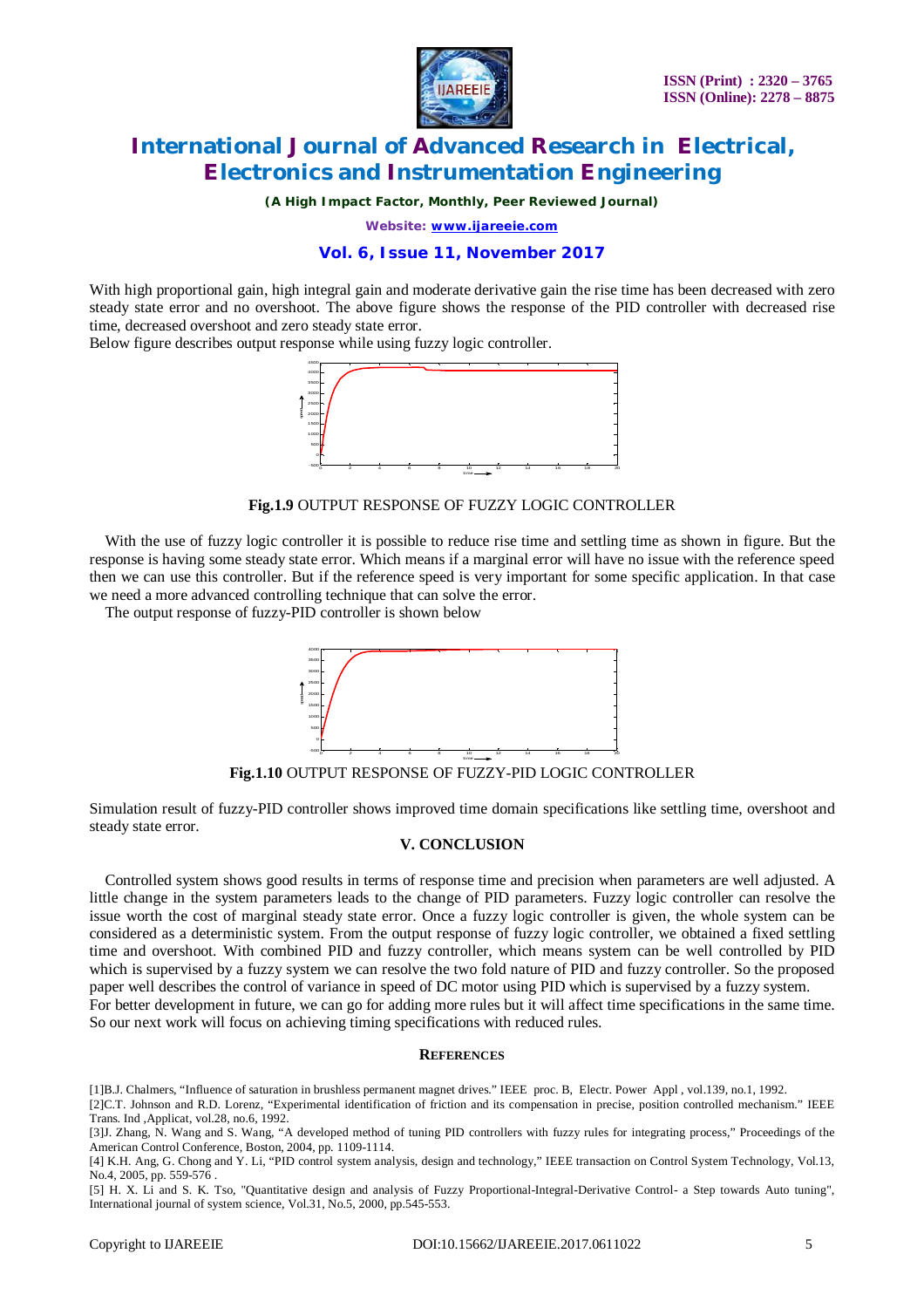

*(A High Impact Factor, Monthly, Peer Reviewed Journal)*

*Website: [www.ijareeie.com](http://www.ijareeie.com)*

# **Vol. 6, Issue 11, November 2017**

With high proportional gain, high integral gain and moderate derivative gain the rise time has been decreased with zero steady state error and no overshoot. The above figure shows the response of the PID controller with decreased rise time, decreased overshoot and zero steady state error.

Below figure describes output response while using fuzzy logic controller.



**Fig.1.9** OUTPUT RESPONSE OF FUZZY LOGIC CONTROLLER

With the use of fuzzy logic controller it is possible to reduce rise time and settling time as shown in figure. But the response is having some steady state error. Which means if a marginal error will have no issue with the reference speed then we can use this controller. But if the reference speed is very important for some specific application. In that case we need a more advanced controlling technique that can solve the error.

The output response of fuzzy-PID controller is shown below



**Fig.1.10** OUTPUT RESPONSE OF FUZZY-PID LOGIC CONTROLLER

Simulation result of fuzzy-PID controller shows improved time domain specifications like settling time, overshoot and steady state error.

#### **V. CONCLUSION**

Controlled system shows good results in terms of response time and precision when parameters are well adjusted. A little change in the system parameters leads to the change of PID parameters. Fuzzy logic controller can resolve the issue worth the cost of marginal steady state error. Once a fuzzy logic controller is given, the whole system can be considered as a deterministic system. From the output response of fuzzy logic controller, we obtained a fixed settling time and overshoot. With combined PID and fuzzy controller, which means system can be well controlled by PID which is supervised by a fuzzy system we can resolve the two fold nature of PID and fuzzy controller. So the proposed paper well describes the control of variance in speed of DC motor using PID which is supervised by a fuzzy system. For better development in future, we can go for adding more rules but it will affect time specifications in the same time. So our next work will focus on achieving timing specifications with reduced rules.

#### **REFERENCES**

[1]B.J. Chalmers, "Influence of saturation in brushless permanent magnet drives." IEEE proc. B, Electr. Power Appl , vol.139, no.1, 1992. [2]C.T. Johnson and R.D. Lorenz, "Experimental identification of friction and its compensation in precise, position controlled mechanism." IEEE Trans. Ind ,Applicat, vol.28, no.6, 1992.

[3]J. Zhang, N. Wang and S. Wang, "A developed method of tuning PID controllers with fuzzy rules for integrating process," Proceedings of the American Control Conference, Boston, 2004, pp. 1109-1114.

[4] K.H. Ang, G. Chong and Y. Li, "PID control system analysis, design and technology," IEEE transaction on Control System Technology, Vol.13, No.4, 2005, pp. 559-576 .

[5] H. X. Li and S. K. Tso, "Quantitative design and analysis of Fuzzy Proportional-Integral-Derivative Control- a Step towards Auto tuning", International journal of system science, Vol.31, No.5, 2000, pp.545-553.